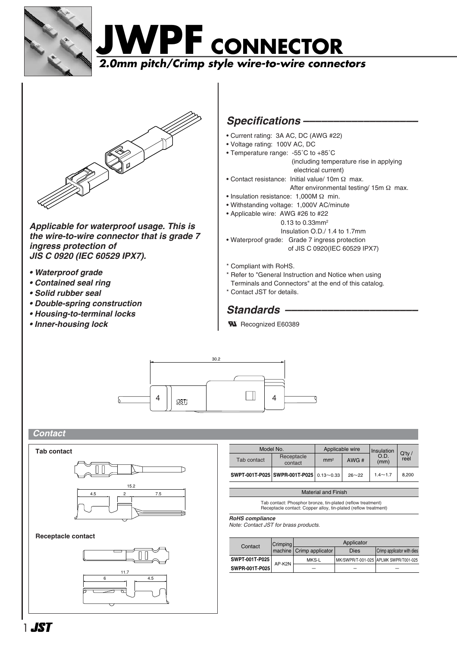





*Applicable for waterproof usage. This is the wire-to-wire connector that is grade 7 ingress protection of JIS C 0920 (IEC 60529 IPX7).* 

- *Waterproof grade*
- *Contained seal ring*
- *Solid rubber seal*
- *Double-spring construction*
- *Housing-to-terminal locks*
- *Inner-housing lock*

## *Specifications –––––––––––––––––––*

- Current rating: 3A AC, DC (AWG #22)
- Voltage rating: 100V AC, DC
- Temperature range: -55˚C to +85˚C

(including temperature rise in applying electrical current)

- Contact resistance: Initial value/ 10m Ω max.
	- After environmental testing/ 15m  $\Omega$  max.
- Insulation resistance: 1,000M Ω min.
- Withstanding voltage: 1,000V AC/minute
- Applicable wire: AWG #26 to #22
	- 0.13 to 0.33mm2
	- Insulation O.D./ 1.4 to 1.7mm
- Waterproof grade: Grade 7 ingress protection of JIS C 0920(IEC 60529 IPX7)
- \* Compliant with RoHS.
- \* Refer to "General Instruction and Notice when using
- Terminals and Connectors" at the end of this catalog.
- \* Contact JST for details.

## Standards –

**W** Recognized E60389



### *Contact*



#### **Receptacle contact**



| Model No.   | Applicable wire                         |                 | Insulation |              |                   |
|-------------|-----------------------------------------|-----------------|------------|--------------|-------------------|
| Tab contact | Receptacle<br>contact                   | mm <sup>2</sup> | AWG#       | O.D.<br>(mm) | $Q'$ ty /<br>reel |
|             | SWPT-001T-P025 SWPR-001T-P025 0.13~0.33 |                 | $26 - 22$  | $1.4 - 1.7$  | 8.200             |

Material and Finish

Tab contact: Phosphor bronze, tin-plated (reflow treatment) Receptacle contact: Copper alloy, tin-plated (reflow treatment)

*RoHS compliance*

*Note: Contact JST for brass products.*

| Contact        | Crimping | Applicator                 |      |                                       |  |
|----------------|----------|----------------------------|------|---------------------------------------|--|
|                |          | machine   Crimp applicator | Dies | Crimp applicator with dies            |  |
| SWPT-001T-P025 | AP-K2N   | MKS-L                      |      | MK/SWPR/T-001-025 APLMK SWPR/T001-025 |  |
| SWPR-001T-P025 |          |                            |      |                                       |  |